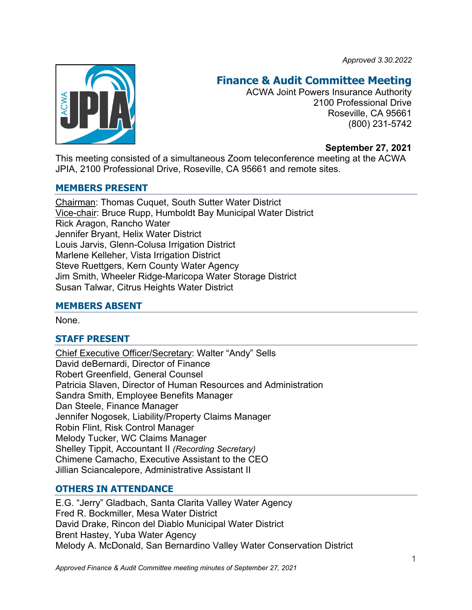*Approved 3.30.2022*



# **Finance & Audit Committee Meeting**

ACWA Joint Powers Insurance Authority 2100 Professional Drive Roseville, CA 95661 (800) 231-5742

## **September 27, 2021**

This meeting consisted of a simultaneous Zoom teleconference meeting at the ACWA JPIA, 2100 Professional Drive, Roseville, CA 95661 and remote sites.

## **MEMBERS PRESENT**

Chairman: Thomas Cuquet, South Sutter Water District Vice-chair: Bruce Rupp, Humboldt Bay Municipal Water District Rick Aragon, Rancho Water Jennifer Bryant, Helix Water District Louis Jarvis, Glenn-Colusa Irrigation District Marlene Kelleher, Vista Irrigation District Steve Ruettgers, Kern County Water Agency Jim Smith, Wheeler Ridge-Maricopa Water Storage District Susan Talwar, Citrus Heights Water District

## **MEMBERS ABSENT**

None.

# **STAFF PRESENT**

Chief Executive Officer/Secretary: Walter "Andy" Sells David deBernardi, Director of Finance Robert Greenfield, General Counsel Patricia Slaven, Director of Human Resources and Administration Sandra Smith, Employee Benefits Manager Dan Steele, Finance Manager Jennifer Nogosek, Liability/Property Claims Manager Robin Flint, Risk Control Manager Melody Tucker, WC Claims Manager Shelley Tippit, Accountant II *(Recording Secretary)* Chimene Camacho, Executive Assistant to the CEO Jillian Sciancalepore, Administrative Assistant II

# **OTHERS IN ATTENDANCE**

E.G. "Jerry" Gladbach, Santa Clarita Valley Water Agency Fred R. Bockmiller, Mesa Water District David Drake, Rincon del Diablo Municipal Water District Brent Hastey, Yuba Water Agency Melody A. McDonald, San Bernardino Valley Water Conservation District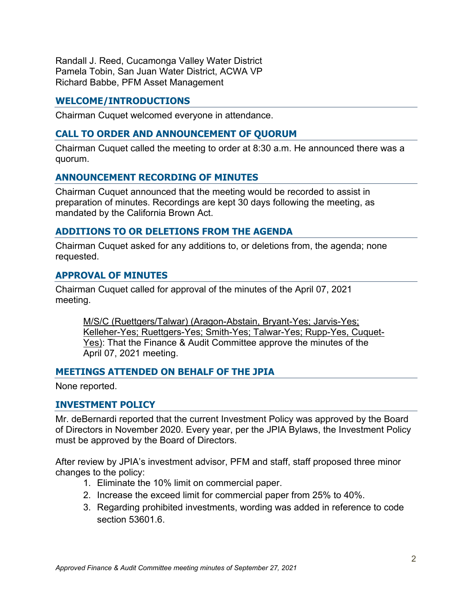Randall J. Reed, Cucamonga Valley Water District Pamela Tobin, San Juan Water District, ACWA VP Richard Babbe, PFM Asset Management

## **WELCOME/INTRODUCTIONS**

Chairman Cuquet welcomed everyone in attendance.

## **CALL TO ORDER AND ANNOUNCEMENT OF QUORUM**

Chairman Cuquet called the meeting to order at 8:30 a.m. He announced there was a quorum.

## **ANNOUNCEMENT RECORDING OF MINUTES**

Chairman Cuquet announced that the meeting would be recorded to assist in preparation of minutes. Recordings are kept 30 days following the meeting, as mandated by the California Brown Act.

## **ADDITIONS TO OR DELETIONS FROM THE AGENDA**

Chairman Cuquet asked for any additions to, or deletions from, the agenda; none requested.

#### **APPROVAL OF MINUTES**

Chairman Cuquet called for approval of the minutes of the April 07, 2021 meeting.

M/S/C (Ruettgers/Talwar) (Aragon-Abstain, Bryant-Yes; Jarvis-Yes; Kelleher-Yes; Ruettgers-Yes; Smith-Yes; Talwar-Yes; Rupp-Yes, Cuquet-Yes): That the Finance & Audit Committee approve the minutes of the April 07, 2021 meeting.

## **MEETINGS ATTENDED ON BEHALF OF THE JPIA**

None reported.

#### **INVESTMENT POLICY**

Mr. deBernardi reported that the current Investment Policy was approved by the Board of Directors in November 2020. Every year, per the JPIA Bylaws, the Investment Policy must be approved by the Board of Directors.

After review by JPIA's investment advisor, PFM and staff, staff proposed three minor changes to the policy:

- 1. Eliminate the 10% limit on commercial paper.
- 2. Increase the exceed limit for commercial paper from 25% to 40%.
- 3. Regarding prohibited investments, wording was added in reference to code section 53601.6.